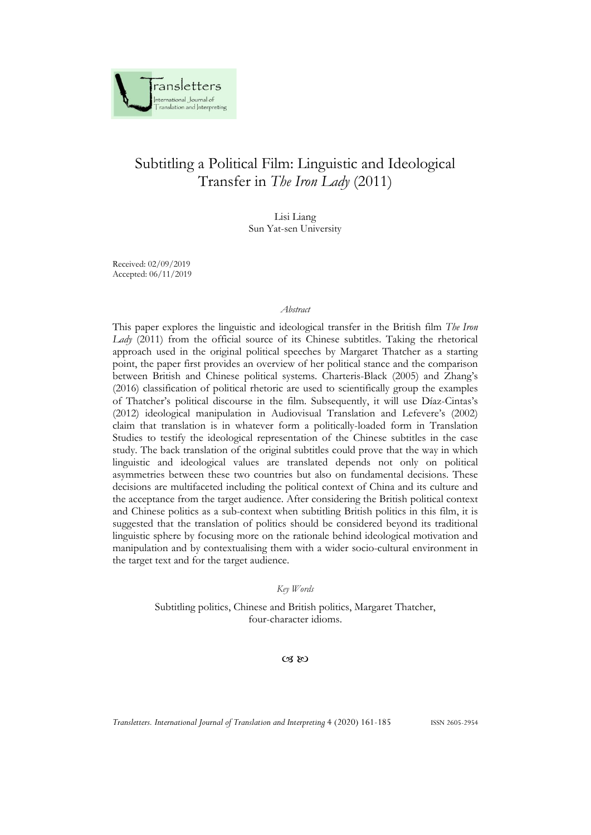

Lisi Liang Sun Yat-sen University

Received: 02/09/2019 Accepted: 06/11/2019

#### *Abstract*

This paper explores the linguistic and ideological transfer in the British film *The Iron Lady* (2011) from the official source of its Chinese subtitles. Taking the rhetorical approach used in the original political speeches by Margaret Thatcher as a starting point, the paper first provides an overview of her political stance and the comparison between British and Chinese political systems. Charteris-Black (2005) and Zhang's (2016) classification of political rhetoric are used to scientifically group the examples of Thatcher's political discourse in the film. Subsequently, it will use Díaz-Cintas's (2012) ideological manipulation in Audiovisual Translation and Lefevere's (2002) claim that translation is in whatever form a politically-loaded form in Translation Studies to testify the ideological representation of the Chinese subtitles in the case study. The back translation of the original subtitles could prove that the way in which linguistic and ideological values are translated depends not only on political asymmetries between these two countries but also on fundamental decisions. These decisions are multifaceted including the political context of China and its culture and the acceptance from the target audience. After considering the British political context and Chinese politics as a sub-context when subtitling British politics in this film, it is suggested that the translation of politics should be considered beyond its traditional linguistic sphere by focusing more on the rationale behind ideological motivation and manipulation and by contextualising them with a wider socio-cultural environment in the target text and for the target audience.

*Key Words*

Subtitling politics, Chinese and British politics, Margaret Thatcher, four-character idioms.

 $CZ$   $RQ$ 

*Transletters. International Journal of Translation and Interpreting* 4 (2020) 161-185 ISSN 2605-2954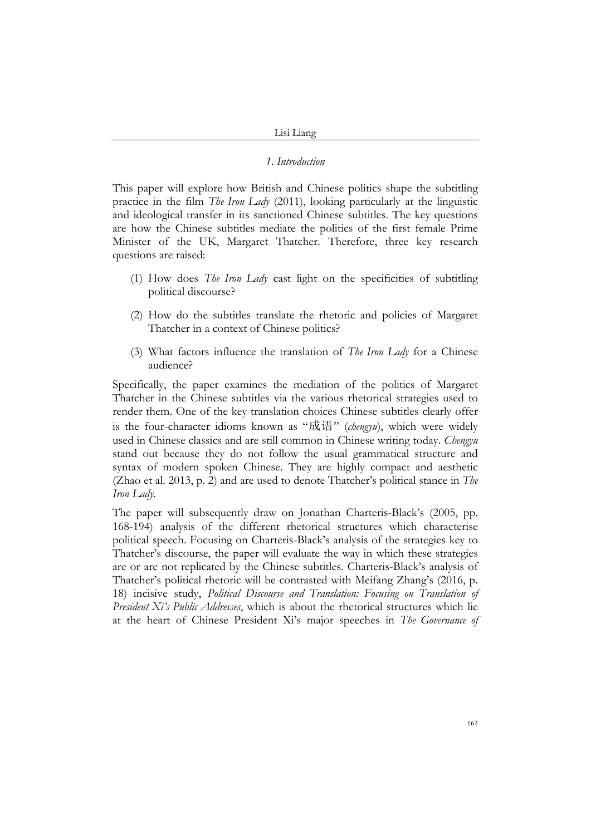#### *1. Introduction*

This paper will explore how British and Chinese politics shape the subtitling practice in the film *The Iron Lady* (2011), looking particularly at the linguistic and ideological transfer in its sanctioned Chinese subtitles. The key questions are how the Chinese subtitles mediate the politics of the first female Prime Minister of the UK, Margaret Thatcher. Therefore, three key research questions are raised:

- (1) How does *The Iron Lady* cast light on the specificities of subtitling political discourse?
- (2) How do the subtitles translate the rhetoric and policies of Margaret Thatcher in a context of Chinese politics?
- (3) What factors influence the translation of *The Iron Lady* for a Chinese audience?

Specifically, the paper examines the mediation of the politics of Margaret Thatcher in the Chinese subtitles via the various rhetorical strategies used to render them. One of the key translation choices Chinese subtitles clearly offer is the four-character idioms known as "成语" (*chengyu*), which were widely used in Chinese classics and are still common in Chinese writing today. *Chengyu* stand out because they do not follow the usual grammatical structure and syntax of modern spoken Chinese. They are highly compact and aesthetic (Zhao et al. 2013, p. 2) and are used to denote Thatcher's political stance in *The Iron Lady*.

The paper will subsequently draw on Jonathan Charteris-Black's (2005, pp. 168-194) analysis of the different rhetorical structures which characterise political speech. Focusing on Charteris-Black's analysis of the strategies key to Thatcher's discourse, the paper will evaluate the way in which these strategies are or are not replicated by the Chinese subtitles. Charteris-Black's analysis of Thatcher's political rhetoric will be contrasted with Meifang Zhang's (2016, p. 18) incisive study, *Political Discourse and Translation: Focusing on Translation of President Xi's Public Addresses*, which is about the rhetorical structures which lie at the heart of Chinese President Xi's major speeches in *The Governance of*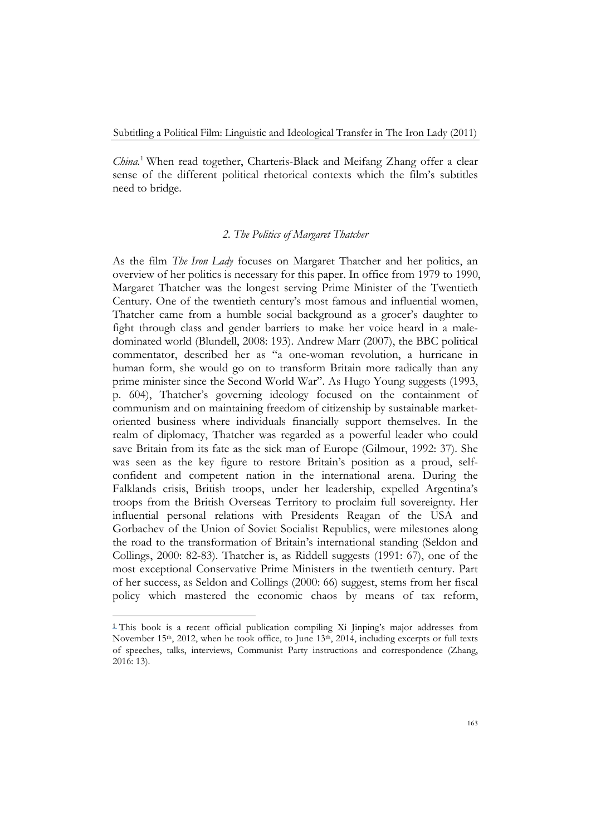*China.*<sup>1</sup> When read together, Charteris-Black and Meifang Zhang offer a clear sense of the different political rhetorical contexts which the film's subtitles need to bridge.

### *2. The Politics of Margaret Thatcher*

As the film *The Iron Lady* focuses on Margaret Thatcher and her politics, an overview of her politics is necessary for this paper. In office from 1979 to 1990, Margaret Thatcher was the longest serving Prime Minister of the Twentieth Century. One of the twentieth century's most famous and influential women, Thatcher came from a humble social background as a grocer's daughter to fight through class and gender barriers to make her voice heard in a maledominated world (Blundell, 2008: 193). Andrew Marr (2007), the BBC political commentator, described her as "a one-woman revolution, a hurricane in human form, she would go on to transform Britain more radically than any prime minister since the Second World War". As Hugo Young suggests (1993, p. 604), Thatcher's governing ideology focused on the containment of communism and on maintaining freedom of citizenship by sustainable marketoriented business where individuals financially support themselves. In the realm of diplomacy, Thatcher was regarded as a powerful leader who could save Britain from its fate as the sick man of Europe (Gilmour, 1992: 37). She was seen as the key figure to restore Britain's position as a proud, selfconfident and competent nation in the international arena. During the Falklands crisis, British troops, under her leadership, expelled Argentina's troops from the British Overseas Territory to proclaim full sovereignty. Her influential personal relations with Presidents Reagan of the USA and Gorbachev of the Union of Soviet Socialist Republics, were milestones along the road to the transformation of Britain's international standing (Seldon and Collings, 2000: 82-83). Thatcher is, as Riddell suggests (1991: 67), one of the most exceptional Conservative Prime Ministers in the twentieth century. Part of her success, as Seldon and Collings (2000: 66) suggest, stems from her fiscal policy which mastered the economic chaos by means of tax reform,

<sup>1</sup> This book is a recent official publication compiling Xi Jinping's major addresses from November 15<sup>th</sup>, 2012, when he took office, to June 13<sup>th</sup>, 2014, including excerpts or full texts of speeches, talks, interviews, Communist Party instructions and correspondence (Zhang, 2016: 13).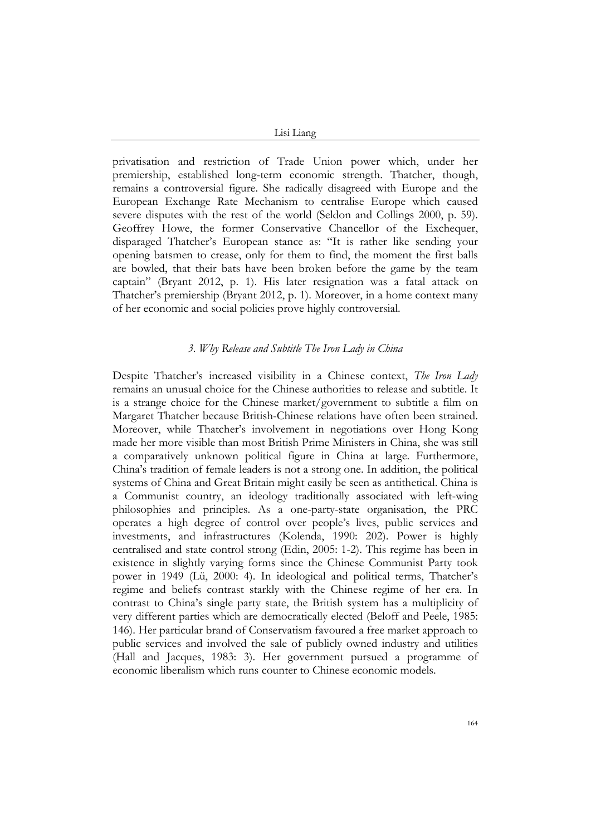privatisation and restriction of Trade Union power which, under her premiership, established long-term economic strength. Thatcher, though, remains a controversial figure. She radically disagreed with Europe and the European Exchange Rate Mechanism to centralise Europe which caused severe disputes with the rest of the world (Seldon and Collings 2000, p. 59). Geoffrey Howe, the former Conservative Chancellor of the Exchequer, disparaged Thatcher's European stance as: "It is rather like sending your opening batsmen to crease, only for them to find, the moment the first balls are bowled, that their bats have been broken before the game by the team captain" (Bryant 2012, p. 1). His later resignation was a fatal attack on Thatcher's premiership (Bryant 2012, p. 1). Moreover, in a home context many of her economic and social policies prove highly controversial.

### *3. Why Release and Subtitle The Iron Lady in China*

Despite Thatcher's increased visibility in a Chinese context, *The Iron Lady* remains an unusual choice for the Chinese authorities to release and subtitle. It is a strange choice for the Chinese market/government to subtitle a film on Margaret Thatcher because British-Chinese relations have often been strained. Moreover, while Thatcher's involvement in negotiations over Hong Kong made her more visible than most British Prime Ministers in China, she was still a comparatively unknown political figure in China at large. Furthermore, China's tradition of female leaders is not a strong one. In addition, the political systems of China and Great Britain might easily be seen as antithetical. China is a Communist country, an ideology traditionally associated with left-wing philosophies and principles. As a one-party-state organisation, the PRC operates a high degree of control over people's lives, public services and investments, and infrastructures (Kolenda, 1990: 202). Power is highly centralised and state control strong (Edin, 2005: 1-2). This regime has been in existence in slightly varying forms since the Chinese Communist Party took power in 1949 (Lü, 2000: 4). In ideological and political terms, Thatcher's regime and beliefs contrast starkly with the Chinese regime of her era. In contrast to China's single party state, the British system has a multiplicity of very different parties which are democratically elected (Beloff and Peele, 1985: 146). Her particular brand of Conservatism favoured a free market approach to public services and involved the sale of publicly owned industry and utilities (Hall and Jacques, 1983: 3). Her government pursued a programme of economic liberalism which runs counter to Chinese economic models.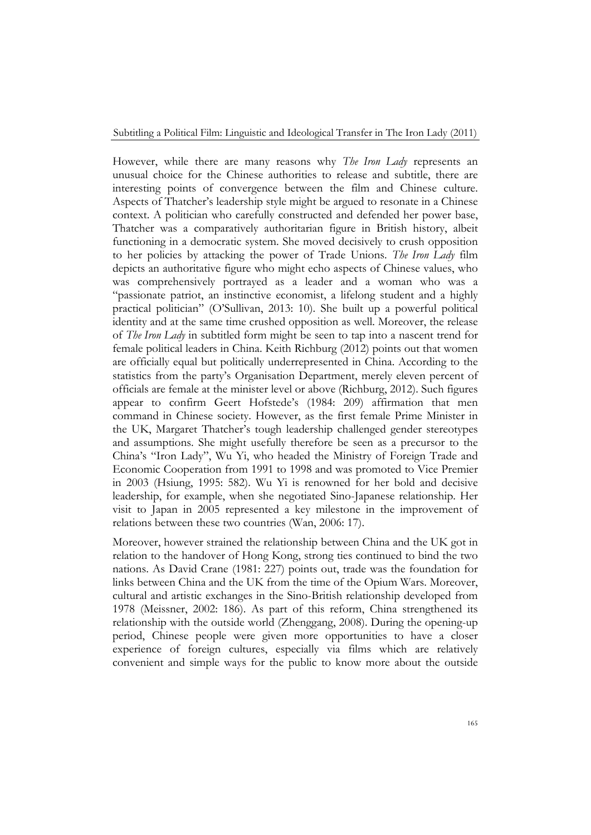However, while there are many reasons why *The Iron Lady* represents an unusual choice for the Chinese authorities to release and subtitle, there are interesting points of convergence between the film and Chinese culture. Aspects of Thatcher's leadership style might be argued to resonate in a Chinese context. A politician who carefully constructed and defended her power base, Thatcher was a comparatively authoritarian figure in British history, albeit functioning in a democratic system. She moved decisively to crush opposition to her policies by attacking the power of Trade Unions. *The Iron Lady* film depicts an authoritative figure who might echo aspects of Chinese values, who was comprehensively portrayed as a leader and a woman who was a "passionate patriot, an instinctive economist, a lifelong student and a highly practical politician" (O'Sullivan, 2013: 10). She built up a powerful political identity and at the same time crushed opposition as well. Moreover, the release of *The Iron Lady* in subtitled form might be seen to tap into a nascent trend for female political leaders in China. Keith Richburg (2012) points out that women are officially equal but politically underrepresented in China. According to the statistics from the party's Organisation Department, merely eleven percent of officials are female at the minister level or above (Richburg, 2012). Such figures appear to confirm Geert Hofstede's (1984: 209) affirmation that men command in Chinese society. However, as the first female Prime Minister in the UK, Margaret Thatcher's tough leadership challenged gender stereotypes and assumptions. She might usefully therefore be seen as a precursor to the China's "Iron Lady", Wu Yi, who headed the Ministry of Foreign Trade and Economic Cooperation from 1991 to 1998 and was promoted to Vice Premier in 2003 (Hsiung, 1995: 582). Wu Yi is renowned for her bold and decisive leadership, for example, when she negotiated Sino-Japanese relationship. Her visit to Japan in 2005 represented a key milestone in the improvement of relations between these two countries (Wan, 2006: 17).

Moreover, however strained the relationship between China and the UK got in relation to the handover of Hong Kong, strong ties continued to bind the two nations. As David Crane (1981: 227) points out, trade was the foundation for links between China and the UK from the time of the Opium Wars. Moreover, cultural and artistic exchanges in the Sino-British relationship developed from 1978 (Meissner, 2002: 186). As part of this reform, China strengthened its relationship with the outside world (Zhenggang, 2008). During the opening-up period, Chinese people were given more opportunities to have a closer experience of foreign cultures, especially via films which are relatively convenient and simple ways for the public to know more about the outside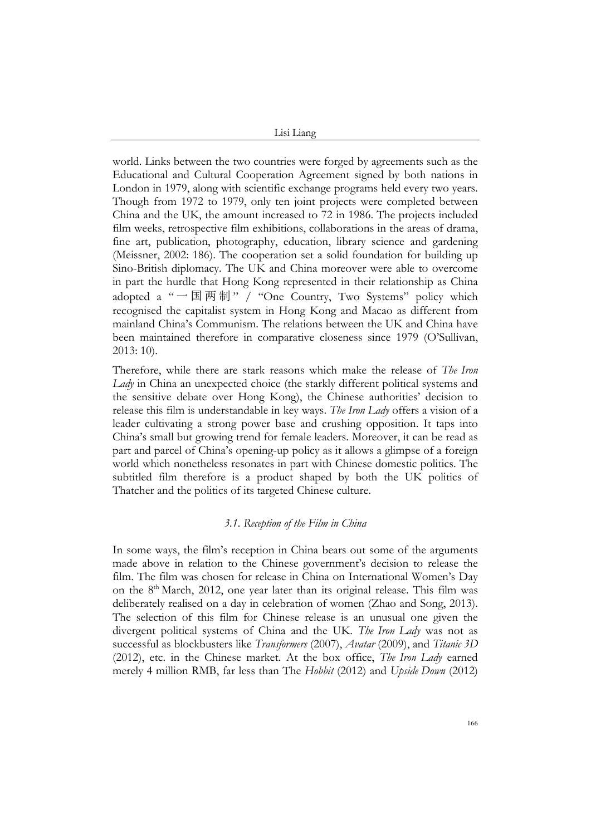world. Links between the two countries were forged by agreements such as the Educational and Cultural Cooperation Agreement signed by both nations in London in 1979, along with scientific exchange programs held every two years. Though from 1972 to 1979, only ten joint projects were completed between China and the UK, the amount increased to 72 in 1986. The projects included film weeks, retrospective film exhibitions, collaborations in the areas of drama, fine art, publication, photography, education, library science and gardening (Meissner, 2002: 186). The cooperation set a solid foundation for building up Sino-British diplomacy. The UK and China moreover were able to overcome in part the hurdle that Hong Kong represented in their relationship as China adopted a "  $\boxtimes$   $\overline{m}$   $\uparrow$   $\mathcal{H}'$  "One Country, Two Systems" policy which recognised the capitalist system in Hong Kong and Macao as different from mainland China's Communism. The relations between the UK and China have been maintained therefore in comparative closeness since 1979 (O'Sullivan, 2013: 10).

Therefore, while there are stark reasons which make the release of *The Iron Lady* in China an unexpected choice (the starkly different political systems and the sensitive debate over Hong Kong), the Chinese authorities' decision to release this film is understandable in key ways. *The Iron Lady* offers a vision of a leader cultivating a strong power base and crushing opposition. It taps into China's small but growing trend for female leaders. Moreover, it can be read as part and parcel of China's opening-up policy as it allows a glimpse of a foreign world which nonetheless resonates in part with Chinese domestic politics. The subtitled film therefore is a product shaped by both the UK politics of Thatcher and the politics of its targeted Chinese culture.

# *3.1. Reception of the Film in China*

In some ways, the film's reception in China bears out some of the arguments made above in relation to the Chinese government's decision to release the film. The film was chosen for release in China on International Women's Day on the 8<sup>th</sup> March, 2012, one year later than its original release. This film was deliberately realised on a day in celebration of women (Zhao and Song, 2013). The selection of this film for Chinese release is an unusual one given the divergent political systems of China and the UK. *The Iron Lady* was not as successful as blockbusters like *Transformers* (2007), *Avatar* (2009), and *Titanic 3D* (2012), etc. in the Chinese market. At the box office, *The Iron Lady* earned merely 4 million RMB, far less than The *Hobbit* (2012) and *Upside Down* (2012)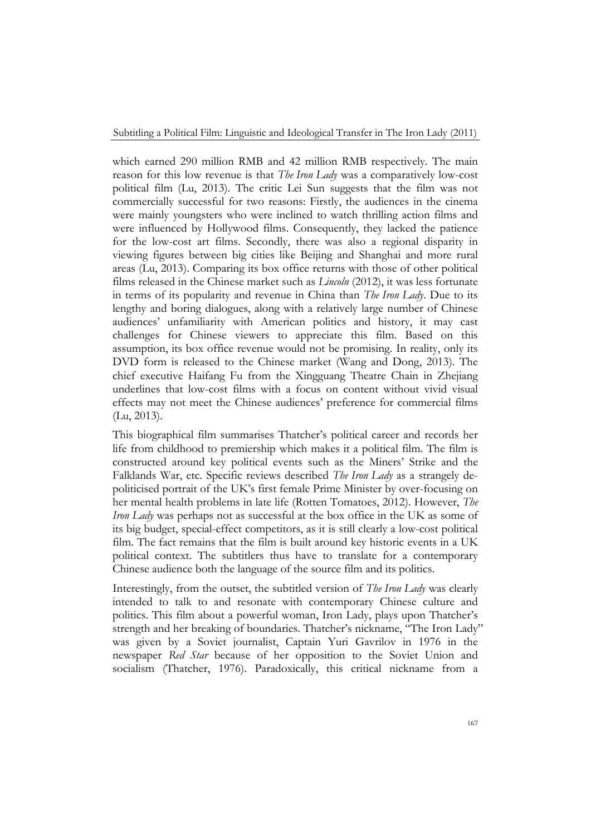which earned 290 million RMB and 42 million RMB respectively. The main reason for this low revenue is that *The Iron Lady* was a comparatively low-cost political film (Lu, 2013). The critic Lei Sun suggests that the film was not commercially successful for two reasons: Firstly, the audiences in the cinema were mainly youngsters who were inclined to watch thrilling action films and were influenced by Hollywood films. Consequently, they lacked the patience for the low-cost art films. Secondly, there was also a regional disparity in viewing figures between big cities like Beijing and Shanghai and more rural areas (Lu, 2013). Comparing its box office returns with those of other political films released in the Chinese market such as *Lincoln* (2012), it was less fortunate in terms of its popularity and revenue in China than *The Iron Lady*. Due to its lengthy and boring dialogues, along with a relatively large number of Chinese audiences' unfamiliarity with American politics and history, it may cast challenges for Chinese viewers to appreciate this film. Based on this assumption, its box office revenue would not be promising. In reality, only its DVD form is released to the Chinese market (Wang and Dong, 2013). The chief executive Haifang Fu from the Xingguang Theatre Chain in Zhejiang underlines that low-cost films with a focus on content without vivid visual effects may not meet the Chinese audiences' preference for commercial films (Lu, 2013).

This biographical film summarises Thatcher's political career and records her life from childhood to premiership which makes it a political film. The film is constructed around key political events such as the Miners' Strike and the Falklands War, etc. Specific reviews described *The Iron Lady* as a strangely depoliticised portrait of the UK's first female Prime Minister by over-focusing on her mental health problems in late life (Rotten Tomatoes, 2012). However, *The Iron Lady* was perhaps not as successful at the box office in the UK as some of its big budget, special-effect competitors, as it is still clearly a low-cost political film. The fact remains that the film is built around key historic events in a UK political context. The subtitlers thus have to translate for a contemporary Chinese audience both the language of the source film and its politics.

Interestingly, from the outset, the subtitled version of *The Iron Lady* was clearly intended to talk to and resonate with contemporary Chinese culture and politics. This film about a powerful woman, Iron Lady, plays upon Thatcher's strength and her breaking of boundaries. Thatcher's nickname, "The Iron Lady" was given by a Soviet journalist, Captain Yuri Gavrilov in 1976 in the newspaper *Red Star* because of her opposition to the Soviet Union and socialism (Thatcher, 1976). Paradoxically, this critical nickname from a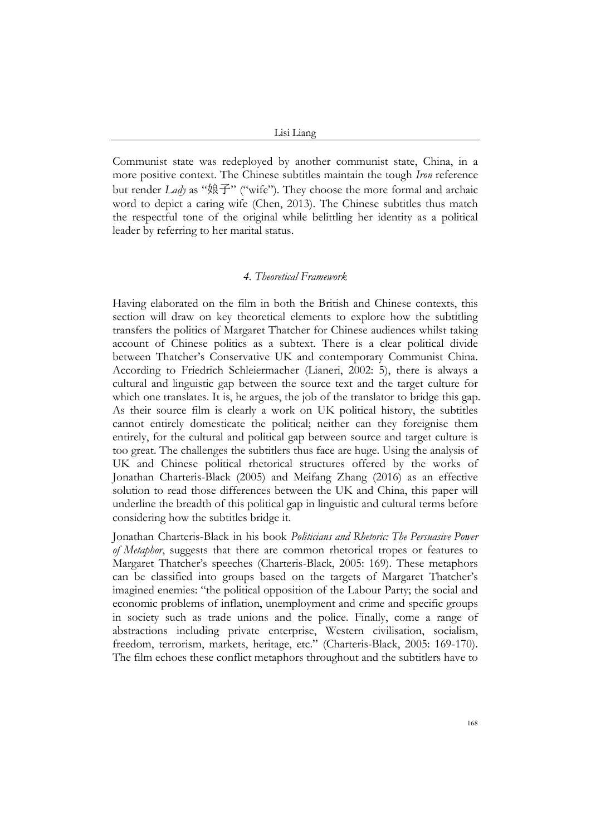Communist state was redeployed by another communist state, China, in a more positive context. The Chinese subtitles maintain the tough *Iron* reference but render *Lady* as "娘子" ("wife"). They choose the more formal and archaic word to depict a caring wife (Chen, 2013). The Chinese subtitles thus match the respectful tone of the original while belittling her identity as a political leader by referring to her marital status.

#### *4. Theoretical Framework*

Having elaborated on the film in both the British and Chinese contexts, this section will draw on key theoretical elements to explore how the subtitling transfers the politics of Margaret Thatcher for Chinese audiences whilst taking account of Chinese politics as a subtext. There is a clear political divide between Thatcher's Conservative UK and contemporary Communist China. According to Friedrich Schleiermacher (Lianeri, 2002: 5), there is always a cultural and linguistic gap between the source text and the target culture for which one translates. It is, he argues, the job of the translator to bridge this gap. As their source film is clearly a work on UK political history, the subtitles cannot entirely domesticate the political; neither can they foreignise them entirely, for the cultural and political gap between source and target culture is too great. The challenges the subtitlers thus face are huge. Using the analysis of UK and Chinese political rhetorical structures offered by the works of Jonathan Charteris-Black (2005) and Meifang Zhang (2016) as an effective solution to read those differences between the UK and China, this paper will underline the breadth of this political gap in linguistic and cultural terms before considering how the subtitles bridge it.

Jonathan Charteris-Black in his book *Politicians and Rhetoric: The Persuasive Power of Metaphor*, suggests that there are common rhetorical tropes or features to Margaret Thatcher's speeches (Charteris-Black, 2005: 169). These metaphors can be classified into groups based on the targets of Margaret Thatcher's imagined enemies: "the political opposition of the Labour Party; the social and economic problems of inflation, unemployment and crime and specific groups in society such as trade unions and the police. Finally, come a range of abstractions including private enterprise, Western civilisation, socialism, freedom, terrorism, markets, heritage, etc." (Charteris-Black, 2005: 169-170). The film echoes these conflict metaphors throughout and the subtitlers have to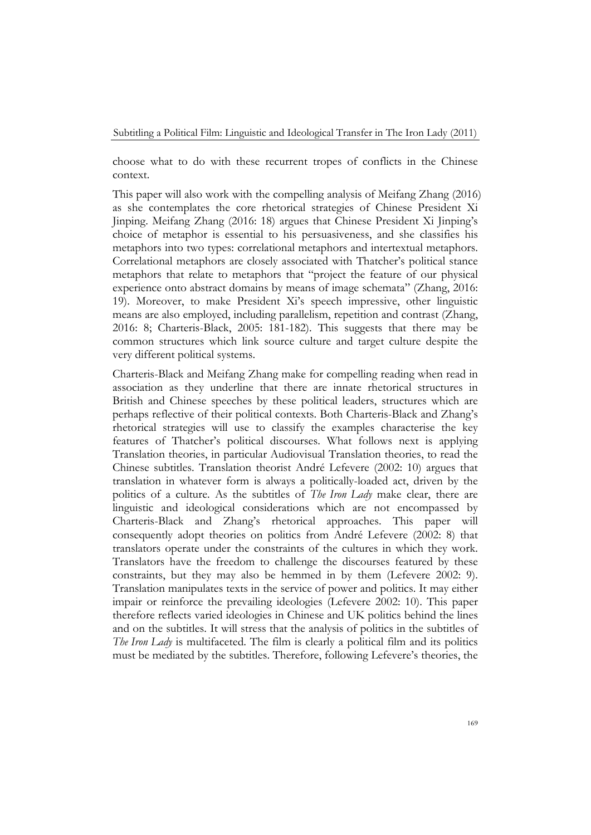choose what to do with these recurrent tropes of conflicts in the Chinese context.

This paper will also work with the compelling analysis of Meifang Zhang (2016) as she contemplates the core rhetorical strategies of Chinese President Xi Jinping. Meifang Zhang (2016: 18) argues that Chinese President Xi Jinping's choice of metaphor is essential to his persuasiveness, and she classifies his metaphors into two types: correlational metaphors and intertextual metaphors. Correlational metaphors are closely associated with Thatcher's political stance metaphors that relate to metaphors that "project the feature of our physical experience onto abstract domains by means of image schemata" (Zhang, 2016: 19). Moreover, to make President Xi's speech impressive, other linguistic means are also employed, including parallelism, repetition and contrast (Zhang, 2016: 8; Charteris-Black, 2005: 181-182). This suggests that there may be common structures which link source culture and target culture despite the very different political systems.

Charteris-Black and Meifang Zhang make for compelling reading when read in association as they underline that there are innate rhetorical structures in British and Chinese speeches by these political leaders, structures which are perhaps reflective of their political contexts. Both Charteris-Black and Zhang's rhetorical strategies will use to classify the examples characterise the key features of Thatcher's political discourses. What follows next is applying Translation theories, in particular Audiovisual Translation theories, to read the Chinese subtitles. Translation theorist André Lefevere (2002: 10) argues that translation in whatever form is always a politically-loaded act, driven by the politics of a culture. As the subtitles of *The Iron Lady* make clear, there are linguistic and ideological considerations which are not encompassed by Charteris-Black and Zhang's rhetorical approaches. This paper will consequently adopt theories on politics from André Lefevere (2002: 8) that translators operate under the constraints of the cultures in which they work. Translators have the freedom to challenge the discourses featured by these constraints, but they may also be hemmed in by them (Lefevere 2002: 9). Translation manipulates texts in the service of power and politics. It may either impair or reinforce the prevailing ideologies (Lefevere 2002: 10). This paper therefore reflects varied ideologies in Chinese and UK politics behind the lines and on the subtitles. It will stress that the analysis of politics in the subtitles of *The Iron Lady* is multifaceted. The film is clearly a political film and its politics must be mediated by the subtitles. Therefore, following Lefevere's theories, the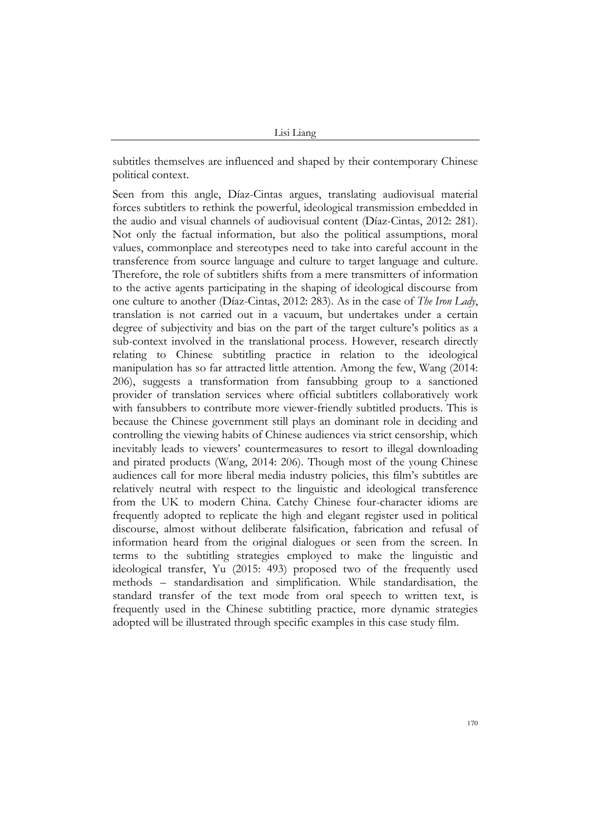subtitles themselves are influenced and shaped by their contemporary Chinese political context.

Seen from this angle, Díaz-Cintas argues, translating audiovisual material forces subtitlers to rethink the powerful, ideological transmission embedded in the audio and visual channels of audiovisual content (Díaz-Cintas, 2012: 281). Not only the factual information, but also the political assumptions, moral values, commonplace and stereotypes need to take into careful account in the transference from source language and culture to target language and culture. Therefore, the role of subtitlers shifts from a mere transmitters of information to the active agents participating in the shaping of ideological discourse from one culture to another (Díaz-Cintas, 2012: 283). As in the case of *The Iron Lady*, translation is not carried out in a vacuum, but undertakes under a certain degree of subjectivity and bias on the part of the target culture's politics as a sub-context involved in the translational process. However, research directly relating to Chinese subtitling practice in relation to the ideological manipulation has so far attracted little attention. Among the few, Wang (2014: 206), suggests a transformation from fansubbing group to a sanctioned provider of translation services where official subtitlers collaboratively work with fansubbers to contribute more viewer-friendly subtitled products. This is because the Chinese government still plays an dominant role in deciding and controlling the viewing habits of Chinese audiences via strict censorship, which inevitably leads to viewers' countermeasures to resort to illegal downloading and pirated products (Wang, 2014: 206). Though most of the young Chinese audiences call for more liberal media industry policies, this film's subtitles are relatively neutral with respect to the linguistic and ideological transference from the UK to modern China. Catchy Chinese four-character idioms are frequently adopted to replicate the high and elegant register used in political discourse, almost without deliberate falsification, fabrication and refusal of information heard from the original dialogues or seen from the screen. In terms to the subtitling strategies employed to make the linguistic and ideological transfer, Yu (2015: 493) proposed two of the frequently used methods – standardisation and simplification. While standardisation, the standard transfer of the text mode from oral speech to written text, is frequently used in the Chinese subtitling practice, more dynamic strategies adopted will be illustrated through specific examples in this case study film.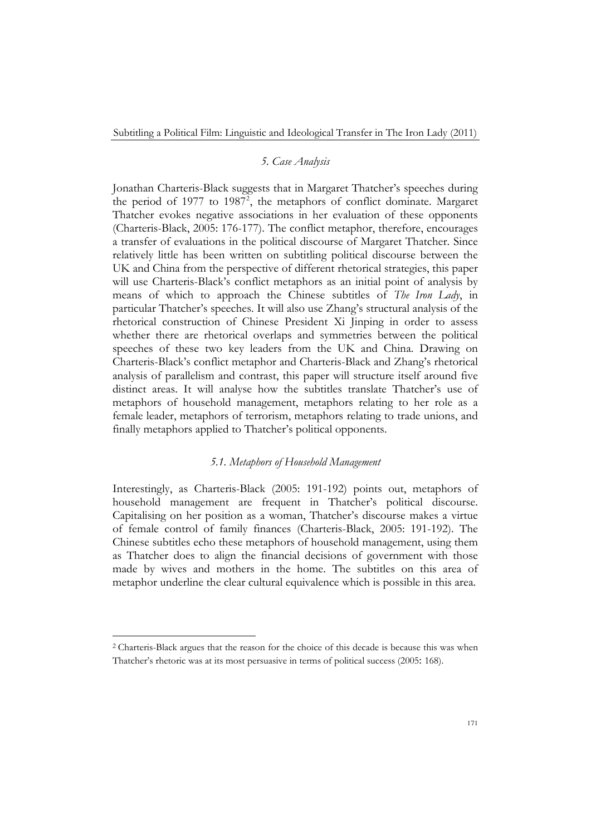## *5. Case Analysis*

Jonathan Charteris-Black suggests that in Margaret Thatcher's speeches during the period of 1977 to 1987<sup>2</sup>, the metaphors of conflict dominate. Margaret Thatcher evokes negative associations in her evaluation of these opponents (Charteris-Black, 2005: 176-177). The conflict metaphor, therefore, encourages a transfer of evaluations in the political discourse of Margaret Thatcher. Since relatively little has been written on subtitling political discourse between the UK and China from the perspective of different rhetorical strategies, this paper will use Charteris-Black's conflict metaphors as an initial point of analysis by means of which to approach the Chinese subtitles of *The Iron Lady*, in particular Thatcher's speeches. It will also use Zhang's structural analysis of the rhetorical construction of Chinese President Xi Jinping in order to assess whether there are rhetorical overlaps and symmetries between the political speeches of these two key leaders from the UK and China. Drawing on Charteris-Black's conflict metaphor and Charteris-Black and Zhang's rhetorical analysis of parallelism and contrast, this paper will structure itself around five distinct areas. It will analyse how the subtitles translate Thatcher's use of metaphors of household management, metaphors relating to her role as a female leader, metaphors of terrorism, metaphors relating to trade unions, and finally metaphors applied to Thatcher's political opponents.

#### *5.1. Metaphors of Household Management*

Interestingly, as Charteris-Black (2005: 191-192) points out, metaphors of household management are frequent in Thatcher's political discourse. Capitalising on her position as a woman, Thatcher's discourse makes a virtue of female control of family finances (Charteris-Black, 2005: 191-192). The Chinese subtitles echo these metaphors of household management, using them as Thatcher does to align the financial decisions of government with those made by wives and mothers in the home. The subtitles on this area of metaphor underline the clear cultural equivalence which is possible in this area.

<sup>2</sup> Charteris-Black argues that the reason for the choice of this decade is because this was when Thatcher's rhetoric was at its most persuasive in terms of political success (2005: 168).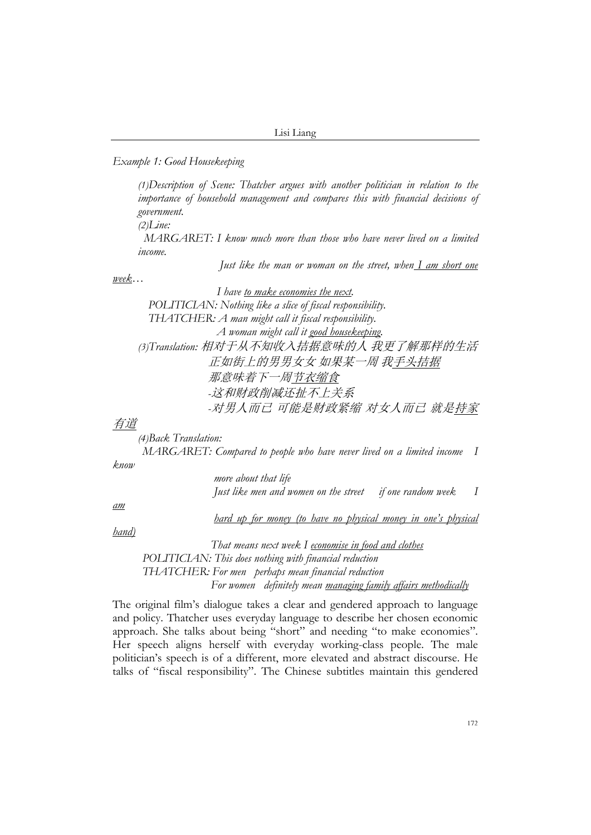*Example 1: Good Housekeeping*

*(1)Description of Scene: Thatcher argues with another politician in relation to the importance of household management and compares this with financial decisions of government.*

*(2)Line:*

 *MARGARET: I know much more than those who have never lived on a limited income.*

 *Just like the man or woman on the street, when I am short one*

*week…*

 *I have to make economies the next. POLITICIAN: Nothing like a slice of fiscal responsibility. THATCHER: A man might call it fiscal responsibility. A woman might call it good housekeeping. (3)Translation:* 相对于从不知收入拮据意味的人 我更了解那样的生活 正如街上的男男女女 如果某一周 我手头拮据 那意味着下一周节衣缩食  *-*这和财政削减还扯不上关系  *-*对男人而已 可能是财政紧缩 对女人而已 就是持家

有道

*(4)Back Translation: MARGARET: Compared to people who have never lived on a limited income I*

*know* 

 *more about that life Just like men and women on the street if one random week I*

*am* 

 *hard up for money (to have no physical money in one's physical*

*hand)*

 *That means next week I economise in food and clothes POLITICIAN: This does nothing with financial reduction THATCHER: For men perhaps mean financial reduction For women definitely mean managing family affairs methodically*

The original film's dialogue takes a clear and gendered approach to language and policy. Thatcher uses everyday language to describe her chosen economic approach. She talks about being "short" and needing "to make economies". Her speech aligns herself with everyday working-class people. The male politician's speech is of a different, more elevated and abstract discourse. He talks of "fiscal responsibility". The Chinese subtitles maintain this gendered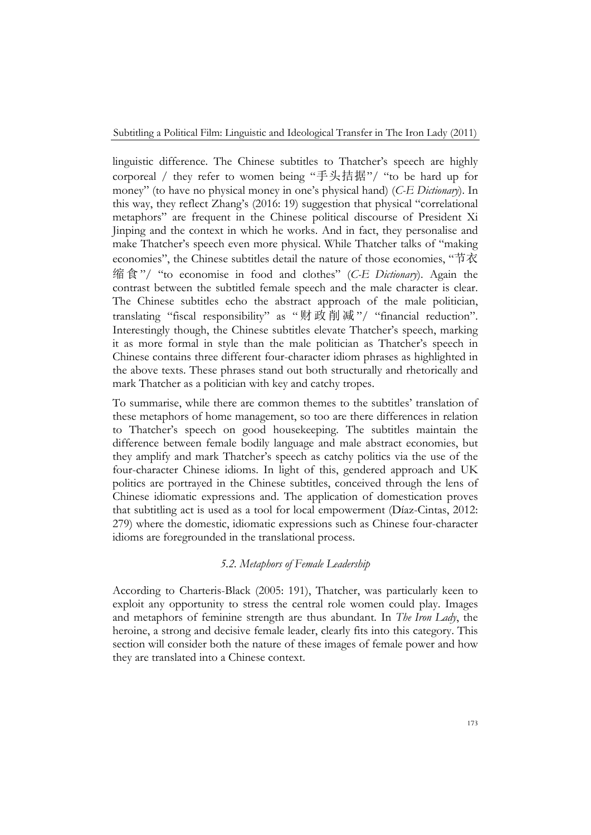linguistic difference. The Chinese subtitles to Thatcher's speech are highly corporeal / they refer to women being "手头拮据"/ "to be hard up for money" (to have no physical money in one's physical hand) (*C-E Dictionary*). In this way, they reflect Zhang's (2016: 19) suggestion that physical "correlational metaphors" are frequent in the Chinese political discourse of President Xi Jinping and the context in which he works. And in fact, they personalise and make Thatcher's speech even more physical. While Thatcher talks of "making economies", the Chinese subtitles detail the nature of those economies, "节衣 缩食"/ "to economise in food and clothes" (*C-E Dictionary*). Again the contrast between the subtitled female speech and the male character is clear. The Chinese subtitles echo the abstract approach of the male politician, translating "fiscal responsibility" as "财政削减"/ "financial reduction". Interestingly though, the Chinese subtitles elevate Thatcher's speech, marking it as more formal in style than the male politician as Thatcher's speech in Chinese contains three different four-character idiom phrases as highlighted in the above texts. These phrases stand out both structurally and rhetorically and mark Thatcher as a politician with key and catchy tropes.

To summarise, while there are common themes to the subtitles' translation of these metaphors of home management, so too are there differences in relation to Thatcher's speech on good housekeeping. The subtitles maintain the difference between female bodily language and male abstract economies, but they amplify and mark Thatcher's speech as catchy politics via the use of the four-character Chinese idioms. In light of this, gendered approach and UK politics are portrayed in the Chinese subtitles, conceived through the lens of Chinese idiomatic expressions and. The application of domestication proves that subtitling act is used as a tool for local empowerment (Díaz-Cintas, 2012: 279) where the domestic, idiomatic expressions such as Chinese four-character idioms are foregrounded in the translational process.

### *5.2. Metaphors of Female Leadership*

According to Charteris-Black (2005: 191), Thatcher, was particularly keen to exploit any opportunity to stress the central role women could play. Images and metaphors of feminine strength are thus abundant. In *The Iron Lady*, the heroine, a strong and decisive female leader, clearly fits into this category. This section will consider both the nature of these images of female power and how they are translated into a Chinese context.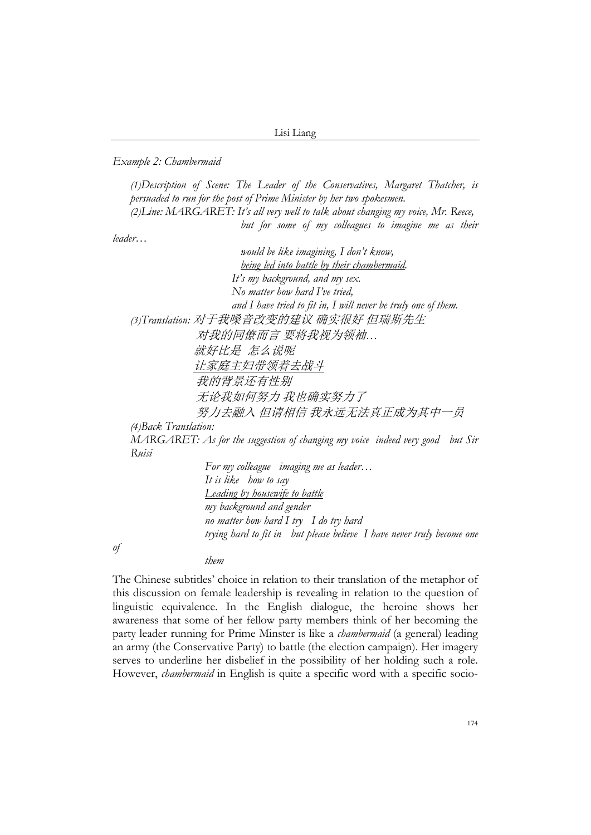*Example 2: Chambermaid*

*(1)Description of Scene: The Leader of the Conservatives, Margaret Thatcher, is persuaded to run for the post of Prime Minister by her two spokesmen. (2)Line: MARGARET: It's all very well to talk about changing my voice, Mr. Reece, but for some of my colleagues to imagine me as their*

*leader…*

 *would be like imagining, I don't know, being led into battle by their chambermaid. It's my background, and my sex. No matter how hard I've tried, and I have tried to fit in, I will never be truly one of them. (3)Translation:* 对于我嗓音改变的建议 确实很好 但瑞斯先生 对我的同僚而言 要将我视为领袖*…* 就好比是怎么说呢 让家庭主妇带领着去战斗 我的背景还有性别 无论我如何努力 我也确实努力了 努力去融入 但请相信 我永远无法真正成为其中一员 *(4)Back Translation: MARGARET: As for the suggestion of changing my voice indeed very good but Sir Ruisi*

> *For my colleague imaging me as leader… It is like how to say Leading by housewife to battle my background and gender no matter how hard I try I do try hard trying hard to fit in but please believe I have never truly become one*

*of*

#### *them*

The Chinese subtitles' choice in relation to their translation of the metaphor of this discussion on female leadership is revealing in relation to the question of linguistic equivalence. In the English dialogue, the heroine shows her awareness that some of her fellow party members think of her becoming the party leader running for Prime Minster is like a *chambermaid* (a general) leading an army (the Conservative Party) to battle (the election campaign). Her imagery serves to underline her disbelief in the possibility of her holding such a role. However, *chambermaid* in English is quite a specific word with a specific socio-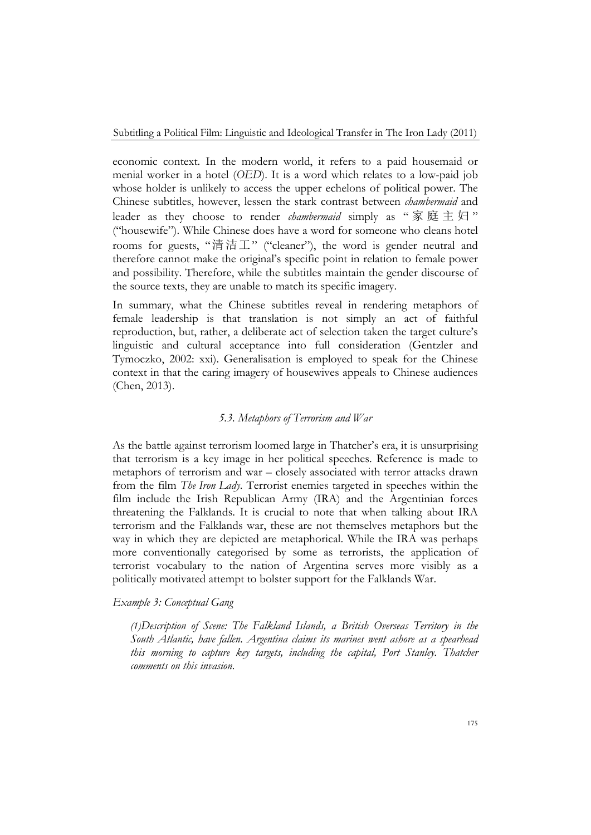economic context. In the modern world, it refers to a paid housemaid or menial worker in a hotel (*OED*). It is a word which relates to a low-paid job whose holder is unlikely to access the upper echelons of political power. The Chinese subtitles, however, lessen the stark contrast between *chambermaid* and leader as they choose to render *chambermaid* simply as "家庭主妇" ("housewife"). While Chinese does have a word for someone who cleans hotel rooms for guests, "清洁工" ("cleaner"), the word is gender neutral and therefore cannot make the original's specific point in relation to female power and possibility. Therefore, while the subtitles maintain the gender discourse of the source texts, they are unable to match its specific imagery.

In summary, what the Chinese subtitles reveal in rendering metaphors of female leadership is that translation is not simply an act of faithful reproduction, but, rather, a deliberate act of selection taken the target culture's linguistic and cultural acceptance into full consideration (Gentzler and Tymoczko, 2002: xxi). Generalisation is employed to speak for the Chinese context in that the caring imagery of housewives appeals to Chinese audiences (Chen, 2013).

#### *5.3. Metaphors of Terrorism and War*

As the battle against terrorism loomed large in Thatcher's era, it is unsurprising that terrorism is a key image in her political speeches. Reference is made to metaphors of terrorism and war – closely associated with terror attacks drawn from the film *The Iron Lady*. Terrorist enemies targeted in speeches within the film include the Irish Republican Army (IRA) and the Argentinian forces threatening the Falklands. It is crucial to note that when talking about IRA terrorism and the Falklands war, these are not themselves metaphors but the way in which they are depicted are metaphorical. While the IRA was perhaps more conventionally categorised by some as terrorists, the application of terrorist vocabulary to the nation of Argentina serves more visibly as a politically motivated attempt to bolster support for the Falklands War.

*Example 3: Conceptual Gang*

*(1)Description of Scene: The Falkland Islands, a British Overseas Territory in the South Atlantic, have fallen. Argentina claims its marines went ashore as a spearhead this morning to capture key targets, including the capital, Port Stanley. Thatcher comments on this invasion.*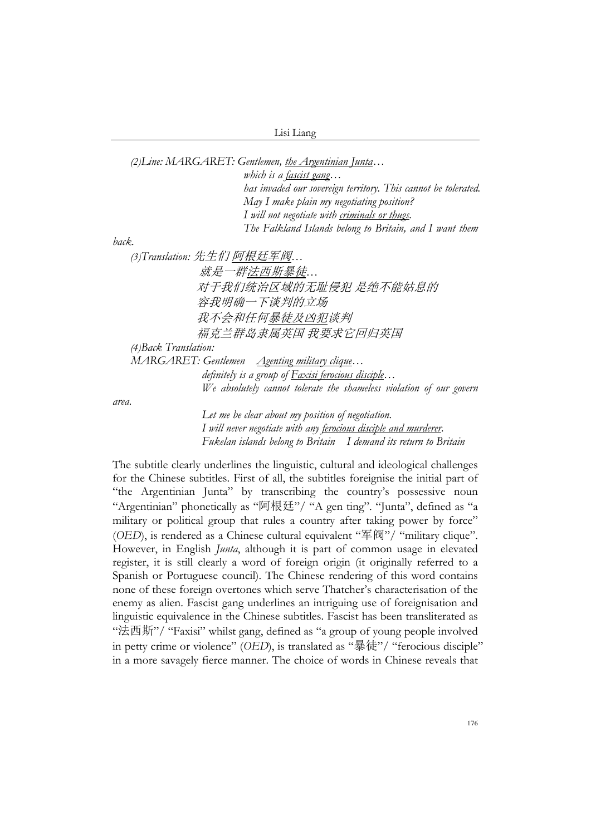*(2)Line: MARGARET: Gentlemen, the Argentinian Junta… which is a fascist gang… has invaded our sovereign territory. This cannot be tolerated. May I make plain my negotiating position? I will not negotiate with criminals or thugs. The Falkland Islands belong to Britain, and I want them back. (3)Translation:* 先生们 阿根廷军阀*…* 就是一群法西斯暴徒*…* 对于我们统治区域的无耻侵犯 是绝不能姑息的 容我明确一下谈判的立场 我不会和任何暴徒及凶犯谈判 福克兰群岛隶属英国 我要求它回归英国 *(4)Back Translation: MARGARET: Gentlemen Agenting military clique… definitely is a group of Faxisi ferocious disciple… We absolutely cannot tolerate the shameless violation of our govern Let me be clear about my position of negotiation.*

*area.*

 *I will never negotiate with any ferocious disciple and murderer. Fukelan islands belong to Britain I demand its return to Britain*

The subtitle clearly underlines the linguistic, cultural and ideological challenges for the Chinese subtitles. First of all, the subtitles foreignise the initial part of "the Argentinian Junta" by transcribing the country's possessive noun "Argentinian" phonetically as "阿根廷"/ "A gen ting". "Junta", defined as "a military or political group that rules a country after taking power by force" (*OED*), is rendered as a Chinese cultural equivalent "军阀"/ "military clique". However, in English *Junta*, although it is part of common usage in elevated register, it is still clearly a word of foreign origin (it originally referred to a Spanish or Portuguese council). The Chinese rendering of this word contains none of these foreign overtones which serve Thatcher's characterisation of the enemy as alien. Fascist gang underlines an intriguing use of foreignisation and linguistic equivalence in the Chinese subtitles. Fascist has been transliterated as "法西斯"/ "Faxisi" whilst gang, defined as "a group of young people involved in petty crime or violence" (*OED*), is translated as "暴徒"/ "ferocious disciple" in a more savagely fierce manner. The choice of words in Chinese reveals that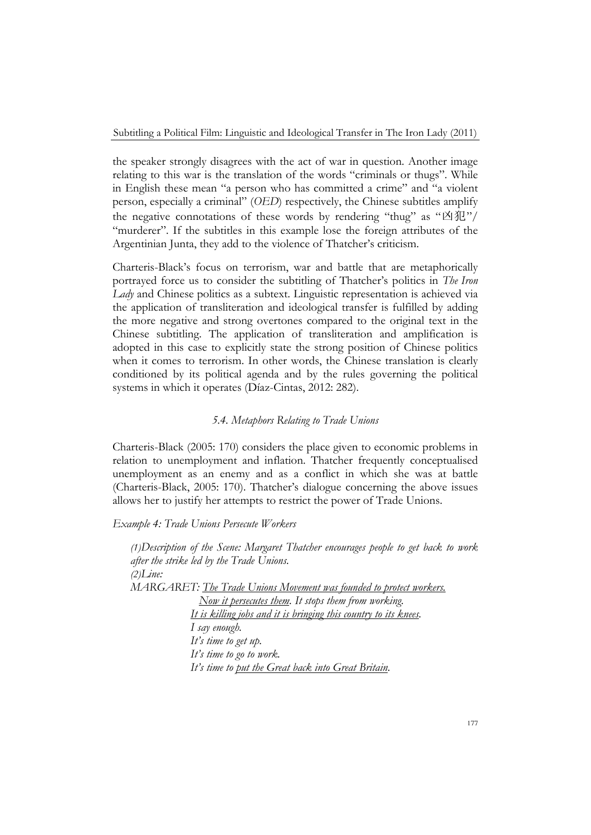the speaker strongly disagrees with the act of war in question. Another image relating to this war is the translation of the words "criminals or thugs". While in English these mean "a person who has committed a crime" and "a violent person, especially a criminal" (*OED*) respectively, the Chinese subtitles amplify the negative connotations of these words by rendering "thug" as " $\Delta \mathcal{H}$ "/ "murderer". If the subtitles in this example lose the foreign attributes of the Argentinian Junta, they add to the violence of Thatcher's criticism.

Charteris-Black's focus on terrorism, war and battle that are metaphorically portrayed force us to consider the subtitling of Thatcher's politics in *The Iron Lady* and Chinese politics as a subtext. Linguistic representation is achieved via the application of transliteration and ideological transfer is fulfilled by adding the more negative and strong overtones compared to the original text in the Chinese subtitling. The application of transliteration and amplification is adopted in this case to explicitly state the strong position of Chinese politics when it comes to terrorism. In other words, the Chinese translation is clearly conditioned by its political agenda and by the rules governing the political systems in which it operates (Díaz-Cintas, 2012: 282).

#### *5.4. Metaphors Relating to Trade Unions*

Charteris-Black (2005: 170) considers the place given to economic problems in relation to unemployment and inflation. Thatcher frequently conceptualised unemployment as an enemy and as a conflict in which she was at battle (Charteris-Black, 2005: 170). Thatcher's dialogue concerning the above issues allows her to justify her attempts to restrict the power of Trade Unions.

#### *Example 4: Trade Unions Persecute Workers*

*(1)Description of the Scene: Margaret Thatcher encourages people to get back to work after the strike led by the Trade Unions. (2)Line: MARGARET: The Trade Unions Movement was founded to protect workers. Now it persecutes them. It stops them from working. It is killing jobs and it is bringing this country to its knees. I say enough. It's time to get up. It's time to go to work. It's time to put the Great back into Great Britain.*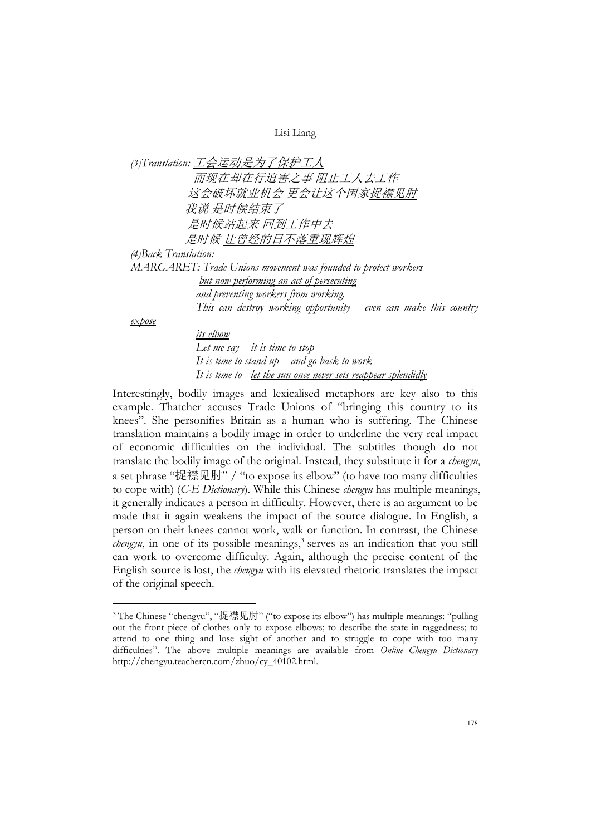|  | 4St Liang |  |
|--|-----------|--|

*(3)Translation:* 工会运动是为了保护工人 而现在却在行迫害之事 阻止工人去工作 这会破坏就业机会 更会让这个国家捉襟见肘 我说 是时候结束了 是时候站起来 回到工作中去 是时候 让曾经的日不落重现辉煌 *(4)Back Translation: MARGARET: Trade Unions movement was founded to protect workers but now performing an act of persecuting and preventing workers from working. This can destroy working opportunity even can make this country expose*

 *its elbow Let me say it is time to stop It is time to stand up and go back to work It is time to let the sun once never sets reappear splendidly*

Interestingly, bodily images and lexicalised metaphors are key also to this example. Thatcher accuses Trade Unions of "bringing this country to its knees". She personifies Britain as a human who is suffering. The Chinese translation maintains a bodily image in order to underline the very real impact of economic difficulties on the individual. The subtitles though do not translate the bodily image of the original. Instead, they substitute it for a *chengyu*, a set phrase "捉襟见肘" / "to expose its elbow" (to have too many difficulties to cope with) (*C-E Dictionary*). While this Chinese *chengyu* has multiple meanings, it generally indicates a person in difficulty. However, there is an argument to be made that it again weakens the impact of the source dialogue. In English, a person on their knees cannot work, walk or function. In contrast, the Chinese *chengyu*, in one of its possible meanings,<sup>3</sup> serves as an indication that you still can work to overcome difficulty. Again, although the precise content of the English source is lost, the *chengyu* with its elevated rhetoric translates the impact of the original speech.

<sup>3</sup> The Chinese "chengyu", "捉襟见肘" ("to expose its elbow") has multiple meanings: "pulling out the front piece of clothes only to expose elbows; to describe the state in raggedness; to attend to one thing and lose sight of another and to struggle to cope with too many difficulties". The above multiple meanings are available from *Online Chengyu Dictionary* http://chengyu.teachercn.com/zhuo/cy\_40102.html.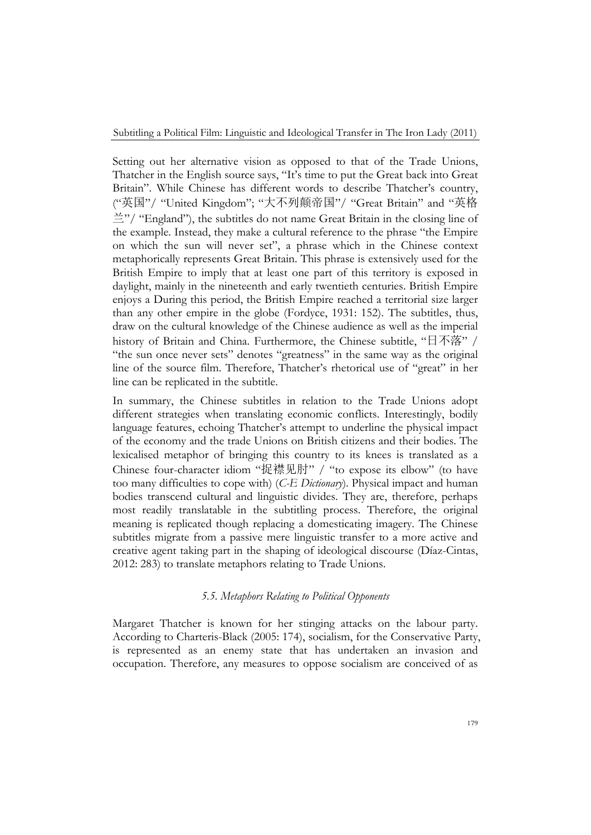Setting out her alternative vision as opposed to that of the Trade Unions, Thatcher in the English source says, "It's time to put the Great back into Great Britain". While Chinese has different words to describe Thatcher's country, ("英国"/ "United Kingdom"; "大不列颠帝国"/ "Great Britain" and "英格 兰"/ "England"), the subtitles do not name Great Britain in the closing line of the example. Instead, they make a cultural reference to the phrase "the Empire on which the sun will never set", a phrase which in the Chinese context metaphorically represents Great Britain. This phrase is extensively used for the British Empire to imply that at least one part of this territory is exposed in daylight, mainly in the nineteenth and early twentieth centuries. British Empire enjoys a During this period, the British Empire reached a territorial size larger than any other empire in the globe (Fordyce, 1931: 152). The subtitles, thus, draw on the cultural knowledge of the Chinese audience as well as the imperial history of Britain and China. Furthermore, the Chinese subtitle, "日不落" / "the sun once never sets" denotes "greatness" in the same way as the original line of the source film. Therefore, Thatcher's rhetorical use of "great" in her line can be replicated in the subtitle.

In summary, the Chinese subtitles in relation to the Trade Unions adopt different strategies when translating economic conflicts. Interestingly, bodily language features, echoing Thatcher's attempt to underline the physical impact of the economy and the trade Unions on British citizens and their bodies. The lexicalised metaphor of bringing this country to its knees is translated as a Chinese four-character idiom "捉襟见肘" / "to expose its elbow" (to have too many difficulties to cope with) (*C-E Dictionary*). Physical impact and human bodies transcend cultural and linguistic divides. They are, therefore, perhaps most readily translatable in the subtitling process. Therefore, the original meaning is replicated though replacing a domesticating imagery. The Chinese subtitles migrate from a passive mere linguistic transfer to a more active and creative agent taking part in the shaping of ideological discourse (Díaz-Cintas, 2012: 283) to translate metaphors relating to Trade Unions.

## *5.5. Metaphors Relating to Political Opponents*

Margaret Thatcher is known for her stinging attacks on the labour party. According to Charteris-Black (2005: 174), socialism, for the Conservative Party, is represented as an enemy state that has undertaken an invasion and occupation. Therefore, any measures to oppose socialism are conceived of as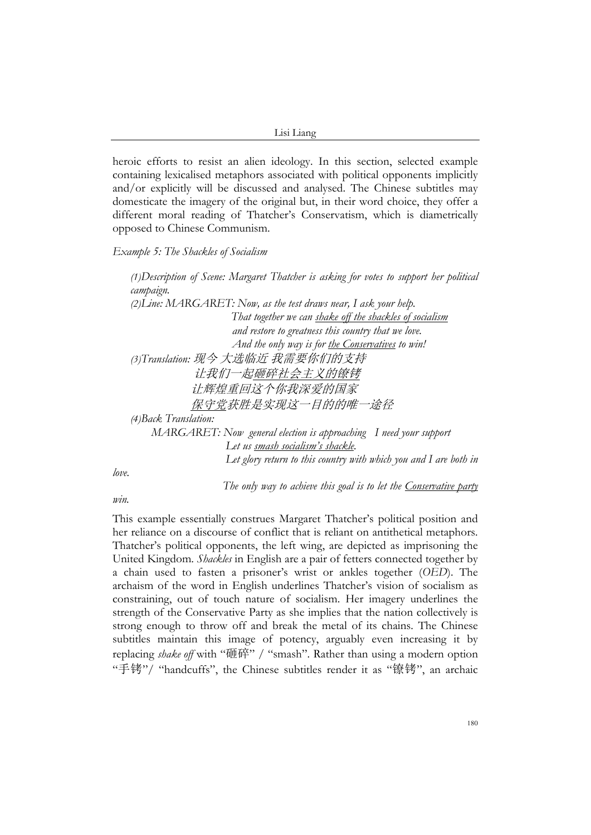heroic efforts to resist an alien ideology. In this section, selected example containing lexicalised metaphors associated with political opponents implicitly and/or explicitly will be discussed and analysed. The Chinese subtitles may domesticate the imagery of the original but, in their word choice, they offer a different moral reading of Thatcher's Conservatism, which is diametrically opposed to Chinese Communism.

#### *Example 5: The Shackles of Socialism*

*(1)Description of Scene: Margaret Thatcher is asking for votes to support her political campaign. (2)Line: MARGARET: Now, as the test draws near, I ask your help. That together we can shake off the shackles of socialism and restore to greatness this country that we love. And the only way is for the Conservatives to win! (3)Translation:* 现今 大选临近 我需要你们的支持 让我们一起砸碎社会主义的镣铐 让辉煌重回这个你我深爱的国家 保守党获胜是实现这一目的的唯一途径 *(4)Back Translation: MARGARET: Now general election is approaching I need your support Let us smash socialism's shackle. Let glory return to this country with which you and I are both in*

*love.*

 *The only way to achieve this goal is to let the Conservative party*

*win.*

This example essentially construes Margaret Thatcher's political position and her reliance on a discourse of conflict that is reliant on antithetical metaphors. Thatcher's political opponents, the left wing, are depicted as imprisoning the United Kingdom. *Shackles* in English are a pair of fetters connected together by a chain used to fasten a prisoner's wrist or ankles together (*OED*). The archaism of the word in English underlines Thatcher's vision of socialism as constraining, out of touch nature of socialism. Her imagery underlines the strength of the Conservative Party as she implies that the nation collectively is strong enough to throw off and break the metal of its chains. The Chinese subtitles maintain this image of potency, arguably even increasing it by replacing *shake off* with "砸碎" / "smash". Rather than using a modern option "手铐"/ "handcuffs", the Chinese subtitles render it as "镣铐", an archaic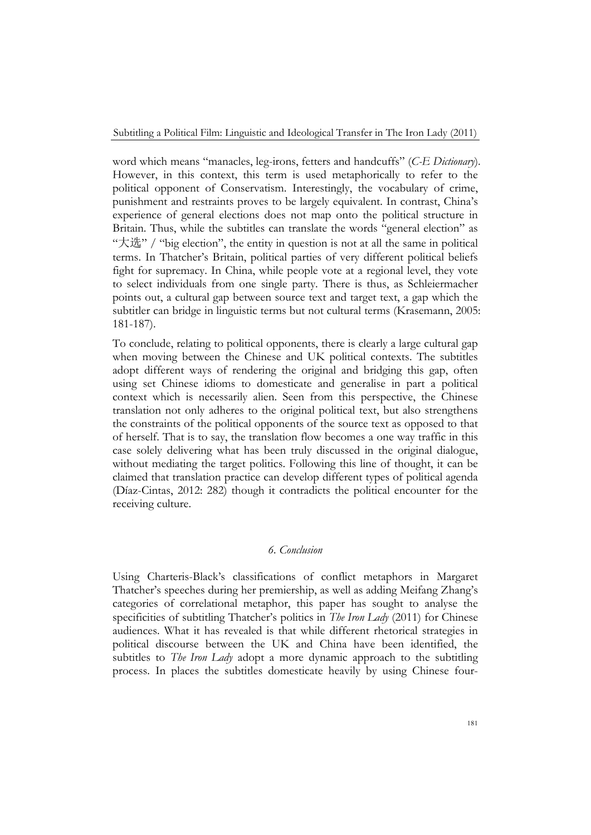word which means "manacles, leg-irons, fetters and handcuffs" (*C-E Dictionary*). However, in this context, this term is used metaphorically to refer to the political opponent of Conservatism. Interestingly, the vocabulary of crime, punishment and restraints proves to be largely equivalent. In contrast, China's experience of general elections does not map onto the political structure in Britain. Thus, while the subtitles can translate the words "general election" as "大选" / "big election", the entity in question is not at all the same in political terms. In Thatcher's Britain, political parties of very different political beliefs fight for supremacy. In China, while people vote at a regional level, they vote to select individuals from one single party. There is thus, as Schleiermacher points out, a cultural gap between source text and target text, a gap which the subtitler can bridge in linguistic terms but not cultural terms (Krasemann, 2005: 181-187).

To conclude, relating to political opponents, there is clearly a large cultural gap when moving between the Chinese and UK political contexts. The subtitles adopt different ways of rendering the original and bridging this gap, often using set Chinese idioms to domesticate and generalise in part a political context which is necessarily alien. Seen from this perspective, the Chinese translation not only adheres to the original political text, but also strengthens the constraints of the political opponents of the source text as opposed to that of herself. That is to say, the translation flow becomes a one way traffic in this case solely delivering what has been truly discussed in the original dialogue, without mediating the target politics. Following this line of thought, it can be claimed that translation practice can develop different types of political agenda (Díaz-Cintas, 2012: 282) though it contradicts the political encounter for the receiving culture.

## *6. Conclusion*

Using Charteris-Black's classifications of conflict metaphors in Margaret Thatcher's speeches during her premiership, as well as adding Meifang Zhang's categories of correlational metaphor, this paper has sought to analyse the specificities of subtitling Thatcher's politics in *The Iron Lady* (2011) for Chinese audiences. What it has revealed is that while different rhetorical strategies in political discourse between the UK and China have been identified, the subtitles to *The Iron Lady* adopt a more dynamic approach to the subtitling process. In places the subtitles domesticate heavily by using Chinese four-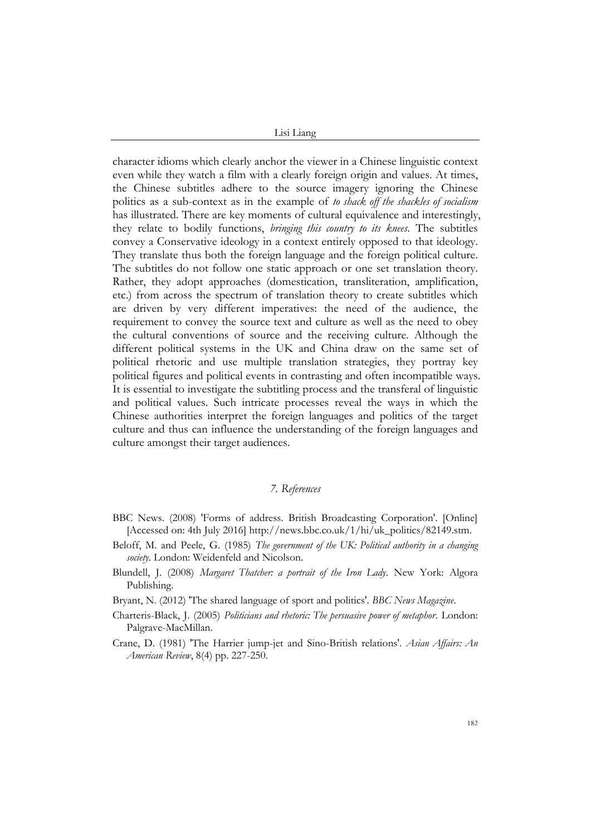character idioms which clearly anchor the viewer in a Chinese linguistic context even while they watch a film with a clearly foreign origin and values. At times, the Chinese subtitles adhere to the source imagery ignoring the Chinese politics as a sub-context as in the example of *to shack off the shackles of socialism* has illustrated. There are key moments of cultural equivalence and interestingly, they relate to bodily functions, *bringing this country to its knees*. The subtitles convey a Conservative ideology in a context entirely opposed to that ideology. They translate thus both the foreign language and the foreign political culture. The subtitles do not follow one static approach or one set translation theory. Rather, they adopt approaches (domestication, transliteration, amplification, etc.) from across the spectrum of translation theory to create subtitles which are driven by very different imperatives: the need of the audience, the requirement to convey the source text and culture as well as the need to obey the cultural conventions of source and the receiving culture. Although the different political systems in the UK and China draw on the same set of political rhetoric and use multiple translation strategies, they portray key political figures and political events in contrasting and often incompatible ways. It is essential to investigate the subtitling process and the transferal of linguistic and political values. Such intricate processes reveal the ways in which the Chinese authorities interpret the foreign languages and politics of the target culture and thus can influence the understanding of the foreign languages and culture amongst their target audiences.

#### *7. References*

- BBC News. (2008) 'Forms of address. British Broadcasting Corporation'. [Online] [Accessed on: 4th July 2016] http://news.bbc.co.uk/1/hi/uk\_politics/82149.stm.
- Beloff, M. and Peele, G. (1985) *The government of the UK: Political authority in a changing society*. London: Weidenfeld and Nicolson.
- Blundell, J. (2008) *Margaret Thatcher: a portrait of the Iron Lady*. New York: Algora Publishing.
- Bryant, N. (2012) 'The shared language of sport and politics'. *BBC News Magazine*.
- Charteris-Black, J. (2005) *Politicians and rhetoric: The persuasive power of metaphor*. London: Palgrave-MacMillan.
- Crane, D. (1981) 'The Harrier jump-jet and Sino-British relations'. *Asian Affairs: An American Review*, 8(4) pp. 227-250.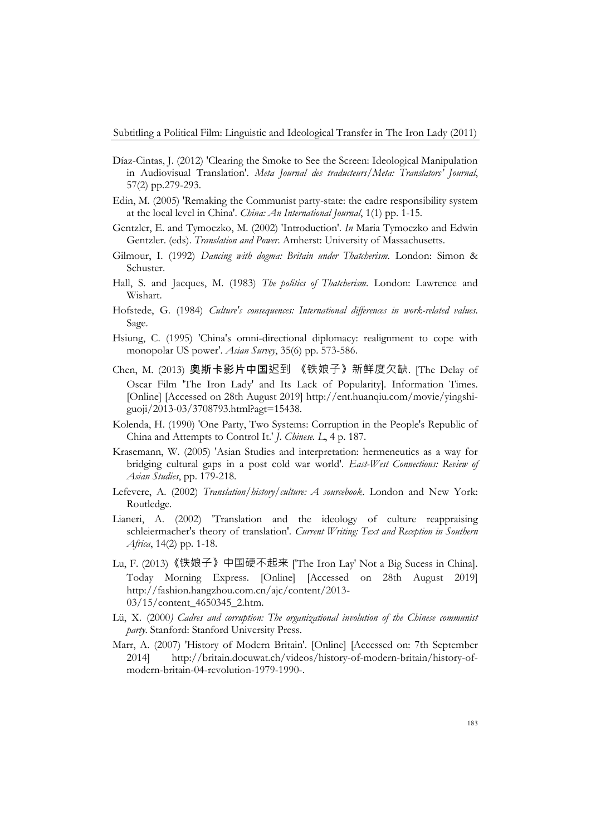- Díaz-Cintas, J. (2012) 'Clearing the Smoke to See the Screen: Ideological Manipulation in Audiovisual Translation'. *Meta Journal des traducteurs/Meta: Translators' Journal*, 57(2) pp.279-293.
- Edin, M. (2005) 'Remaking the Communist party-state: the cadre responsibility system at the local level in China'. *China: An International Journal*, 1(1) pp. 1-15.
- Gentzler, E. and Tymoczko, M. (2002) 'Introduction'. *In* Maria Tymoczko and Edwin Gentzler. (eds). *Translation and Power*. Amherst: University of Massachusetts.
- Gilmour, I. (1992) *Dancing with dogma: Britain under Thatcherism*. London: Simon & Schuster.
- Hall, S. and Jacques, M. (1983) *The politics of Thatcherism*. London: Lawrence and Wishart.
- Hofstede, G. (1984) *Culture's consequences: International differences in work-related values*. Sage.
- Hsiung, C. (1995) 'China's omni-directional diplomacy: realignment to cope with monopolar US power'. *Asian Survey*, 35(6) pp. 573-586.
- Chen, M. (2013) 奥斯卡影片中国迟到 《铁娘子》新鲜度欠缺. [The Delay of Oscar Film 'The Iron Lady' and Its Lack of Popularity]. Information Times. [Online] [Accessed on 28th August 2019] http://ent.huanqiu.com/movie/yingshiguoji/2013-03/3708793.html?agt=15438.
- Kolenda, H. (1990) 'One Party, Two Systems: Corruption in the People's Republic of China and Attempts to Control It.' *J. Chinese. L*, 4 p. 187.
- Krasemann, W. (2005) 'Asian Studies and interpretation: hermeneutics as a way for bridging cultural gaps in a post cold war world'. *East-West Connections: Review of Asian Studies*, pp. 179-218.
- Lefevere, A. (2002) *Translation/history/culture: A sourcebook*. London and New York: Routledge.
- Lianeri, A. (2002) 'Translation and the ideology of culture reappraising schleiermacher's theory of translation'. *Current Writing: Text and Reception in Southern Africa*, 14(2) pp. 1-18.
- Lu, F. (2013)《铁娘子》中国硬不起来 ['The Iron Lay' Not a Big Sucess in China]. Today Morning Express. [Online] [Accessed on 28th August 2019] http://fashion.hangzhou.com.cn/ajc/content/2013- 03/15/content\_4650345\_2.htm.
- Lü, X. (2000*) Cadres and corruption: The organizational involution of the Chinese communist party*. Stanford: Stanford University Press.
- Marr, A. (2007) 'History of Modern Britain'. [Online] [Accessed on: 7th September 2014] http://britain.docuwat.ch/videos/history-of-modern-britain/history-ofmodern-britain-04-revolution-1979-1990-.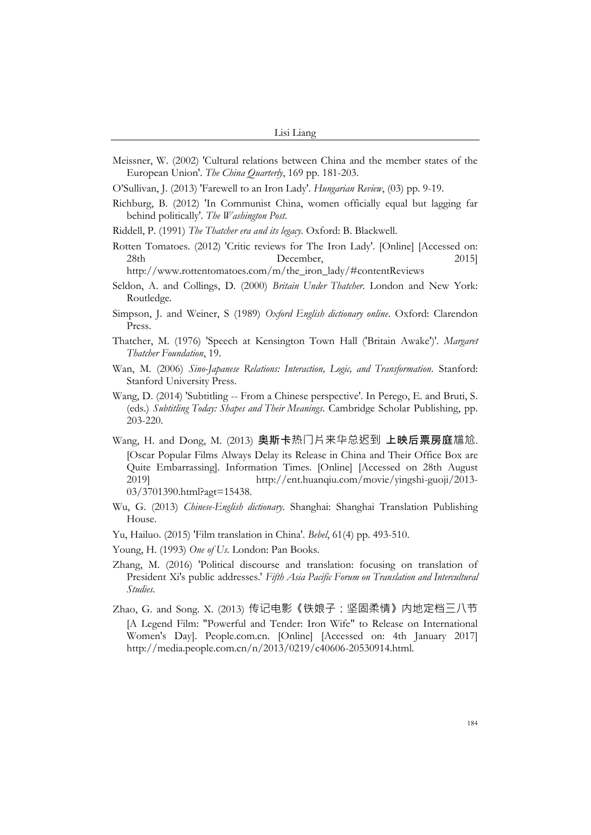- Meissner, W. (2002) 'Cultural relations between China and the member states of the European Union'. *The China Quarterly*, 169 pp. 181-203.
- O'Sullivan, J. (2013) 'Farewell to an Iron Lady'. *Hungarian Review*, (03) pp. 9-19.
- Richburg, B. (2012) 'In Communist China, women officially equal but lagging far behind politically'. *The Washington Post*.
- Riddell, P. (1991) *The Thatcher era and its legacy*. Oxford: B. Blackwell.
- Rotten Tomatoes. (2012) 'Critic reviews for The Iron Lady'. [Online] [Accessed on: 28th December, 2015] http://www.rottentomatoes.com/m/the\_iron\_lady/#contentReviews
- Seldon, A. and Collings, D. (2000) *Britain Under Thatcher*. London and New York: Routledge.
- Simpson, J. and Weiner, S (1989) *Oxford English dictionary online*. Oxford: Clarendon Press.
- Thatcher, M. (1976) 'Speech at Kensington Town Hall ('Britain Awake')'. *Margaret Thatcher Foundation*, 19.
- Wan, M. (2006) *Sino-Japanese Relations: Interaction, Logic, and Transformation*. Stanford: Stanford University Press.
- Wang, D. (2014) 'Subtitling -- From a Chinese perspective'. In Perego, E. and Bruti, S. (eds.) *Subtitling Today: Shapes and Their Meanings*. Cambridge Scholar Publishing, pp. 203-220.
- Wang, H. and Dong, M. (2013) 奥斯卡热门片来华总迟到 上映后票房庭尴尬. [Oscar Popular Films Always Delay its Release in China and Their Office Box are Quite Embarrassing]. Information Times. [Online] [Accessed on 28th August 2019] http://ent.huanqiu.com/movie/yingshi-guoji/2013- 03/3701390.html?agt=15438.
- Wu, G. (2013) *Chinese-English dictionary*. Shanghai: Shanghai Translation Publishing House.
- Yu, Hailuo. (2015) 'Film translation in China'. *Bebel*, 61(4) pp. 493-510.
- Young, H. (1993) *One of Us*. London: Pan Books.
- Zhang, M. (2016) 'Political discourse and translation: focusing on translation of President Xi's public addresses.' *Fifth Asia Pacific Forum on Translation and Intercultural Studies*.
- Zhao, G. and Song. X. (2013) 传记电影《铁娘子:坚固柔情》内地定档三八节 [A Legend Film: "Powerful and Tender: Iron Wife" to Release on International Women's Day]. People.com.cn. [Online] [Accessed on: 4th January 2017] http://media.people.com.cn/n/2013/0219/c40606-20530914.html.